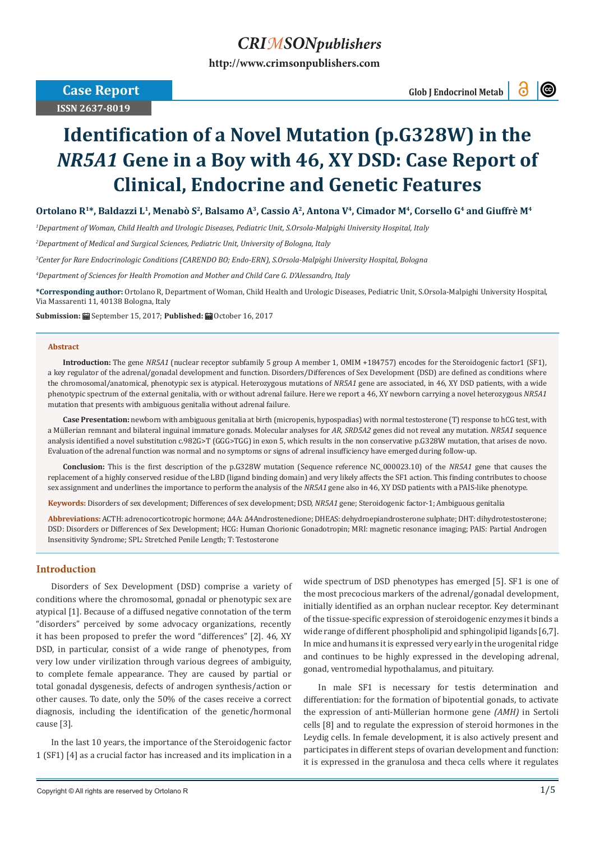# *CRIMSONpublishers*

**[http://www.crimsonpublishers.com](http://crimsonpublishers.com)**

 **Case Report** 

**ISSN 2637-8019**

 **Glob J Endocrinol Metab**

 $\circledcirc$ 

# **Identification of a Novel Mutation (p.G328W) in the**  *NR5A1* **Gene in a Boy with 46, XY DSD: Case Report of Clinical, Endocrine and Genetic Features**

Ortolano R<sup>1\*</sup>, Baldazzi L<sup>1</sup>, Menabò S<sup>2</sup>, Balsamo A<sup>3</sup>, Cassio A<sup>2</sup>, Antona V<sup>4</sup>, Cimador M<sup>4</sup>, Corsello G<sup>4</sup> and Giuffrè M<sup>4</sup>

*1 Department of Woman, Child Health and Urologic Diseases, Pediatric Unit, S.Orsola-Malpighi University Hospital, Italy*

*2 Department of Medical and Surgical Sciences, Pediatric Unit, University of Bologna, Italy*

*3 Center for Rare Endocrinologic Conditions (CARENDO BO; Endo-ERN), S.Orsola-Malpighi University Hospital, Bologna*

*4 Department of Sciences for Health Promotion and Mother and Child Care G. D'Alessandro, Italy*

**\*Corresponding author:** Ortolano R, Department of Woman, Child Health and Urologic Diseases, Pediatric Unit, S.Orsola-Malpighi University Hospital, Via Massarenti 11, 40138 Bologna, Italy

**Submission:** September 15, 2017; **Published:** October 16, 2017

#### **Abstract**

**Introduction:** The gene *NR5A1* (nuclear receptor subfamily 5 group A member 1, OMIM +184757) encodes for the Steroidogenic factor1 (SF1), a key regulator of the adrenal/gonadal development and function. Disorders/Differences of Sex Development (DSD) are defined as conditions where the chromosomal/anatomical, phenotypic sex is atypical. Heterozygous mutations of *NR5A1* gene are associated, in 46, XY DSD patients, with a wide phenotypic spectrum of the external genitalia, with or without adrenal failure. Here we report a 46, XY newborn carrying a novel heterozygous *NR5A1* mutation that presents with ambiguous genitalia without adrenal failure.

Case Presentation: newborn with ambiguous genitalia at birth (micropenis, hypospadias) with normal testosterone (T) response to hCG test, with a Müllerian remnant and bilateral inguinal immature gonads. Molecular analyses for *AR, SRD5A2* genes did not reveal any mutation. *NR5A1* sequence analysis identified a novel substitution c.982G>T (GGG>TGG) in exon 5, which results in the non conservative p.G328W mutation, that arises de novo. Evaluation of the adrenal function was normal and no symptoms or signs of adrenal insufficiency have emerged during follow-up.

**Conclusion:** This is the first description of the p.G328W mutation (Sequence reference NC\_000023.10) of the *NR5A1* gene that causes the replacement of a highly conserved residue of the LBD (ligand binding domain) and very likely affects the SF1 action. This finding contributes to choose sex assignment and underlines the importance to perform the analysis of the *NR5A1* gene also in 46, XY DSD patients with a PAIS-like phenotype.

**Keywords:** Disorders of sex development; Differences of sex development; DSD, *NR5A1* gene; Steroidogenic factor-1; Ambiguous genitalia

**Abbreviations:** ACTH: adrenocorticotropic hormone; Δ4A: Δ4Androstenedione; DHEAS: dehydroepiandrosterone sulphate; DHT: dihydrotestosterone; DSD: Disorders or Differences of Sex Development; HCG: Human Chorionic Gonadotropin; MRI: magnetic resonance imaging; PAIS: Partial Androgen Insensitivity Syndrome; SPL: Stretched Penile Length; T: Testosterone

# **Introduction**

Disorders of Sex Development (DSD) comprise a variety of conditions where the chromosomal, gonadal or phenotypic sex are atypical [1]. Because of a diffused negative connotation of the term "disorders" perceived by some advocacy organizations, recently it has been proposed to prefer the word "differences" [2]. 46, XY DSD, in particular, consist of a wide range of phenotypes, from very low under virilization through various degrees of ambiguity, to complete female appearance. They are caused by partial or total gonadal dysgenesis, defects of androgen synthesis/action or other causes. To date, only the 50% of the cases receive a correct diagnosis, including the identification of the genetic/hormonal cause [3].

In the last 10 years, the importance of the Steroidogenic factor 1 (SF1) [4] as a crucial factor has increased and its implication in a wide spectrum of DSD phenotypes has emerged [5]. SF1 is one of the most precocious markers of the adrenal/gonadal development, initially identified as an orphan nuclear receptor. Key determinant of the tissue-specific expression of steroidogenic enzymes it binds a wide range of different phospholipid and sphingolipid ligands [6,7]. In mice and humans it is expressed very early in the urogenital ridge and continues to be highly expressed in the developing adrenal, gonad, ventromedial hypothalamus, and pituitary.

In male SF1 is necessary for testis determination and differentiation: for the formation of bipotential gonads, to activate the expression of anti-Müllerian hormone gene *(AMH)* in Sertoli cells [8] and to regulate the expression of steroid hormones in the Leydig cells. In female development, it is also actively present and participates in different steps of ovarian development and function: it is expressed in the granulosa and theca cells where it regulates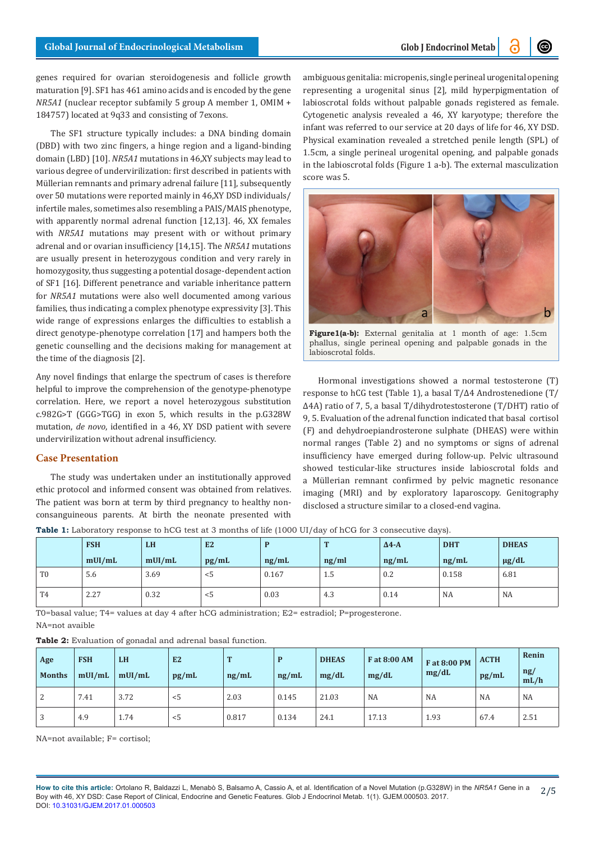genes required for ovarian steroidogenesis and follicle growth maturation [9]. SF1 has 461 amino acids and is encoded by the gene *NR5A1* (nuclear receptor subfamily 5 group A member 1, OMIM + 184757) located at 9q33 and consisting of 7exons.

The SF1 structure typically includes: a DNA binding domain (DBD) with two zinc fingers, a hinge region and a ligand-binding domain (LBD) [10]. *NR5A1* mutations in 46,XY subjects may lead to various degree of undervirilization: first described in patients with Müllerian remnants and primary adrenal failure [11], subsequently over 50 mutations were reported mainly in 46,XY DSD individuals/ infertile males, sometimes also resembling a PAIS/MAIS phenotype, with apparently normal adrenal function [12,13]. 46, XX females with *NR5A1* mutations may present with or without primary adrenal and or ovarian insufficiency [14,15]. The *NR5A1* mutations are usually present in heterozygous condition and very rarely in homozygosity, thus suggesting a potential dosage-dependent action of SF1 [16]. Different penetrance and variable inheritance pattern for *NR5A1* mutations were also well documented among various families, thus indicating a complex phenotype expressivity [3]. This wide range of expressions enlarges the difficulties to establish a direct genotype-phenotype correlation [17] and hampers both the genetic counselling and the decisions making for management at the time of the diagnosis [2].

Any novel findings that enlarge the spectrum of cases is therefore helpful to improve the comprehension of the genotype-phenotype correlation. Here, we report a novel heterozygous substitution c.982G>T (GGG>TGG) in exon 5, which results in the p.G328W mutation, *de novo*, identified in a 46, XY DSD patient with severe undervirilization without adrenal insufficiency.

# **Case Presentation**

The study was undertaken under an institutionally approved ethic protocol and informed consent was obtained from relatives. The patient was born at term by third pregnancy to healthy nonconsanguineous parents. At birth the neonate presented with

ambiguous genitalia: micropenis, single perineal urogenital opening representing a urogenital sinus [2], mild hyperpigmentation of labioscrotal folds without palpable gonads registered as female. Cytogenetic analysis revealed a 46, XY karyotype; therefore the infant was referred to our service at 20 days of life for 46, XY DSD. Physical examination revealed a stretched penile length (SPL) of 1.5cm, a single perineal urogenital opening, and palpable gonads in the labioscrotal folds (Figure 1 a-b). The external masculization score was 5.



**Figure1(a-b):** External genitalia at 1 month of age: 1.5cm phallus, single perineal opening and palpable gonads in the labioscrotal folds.

Hormonal investigations showed a normal testosterone (T) response to hCG test (Table 1), a basal T/Δ4 Androstenedione (T/ Δ4A) ratio of 7, 5, a basal T/dihydrotestosterone (T/DHT) ratio of 9, 5. Evaluation of the adrenal function indicated that basal cortisol (F) and dehydroepiandrosterone sulphate (DHEAS) were within normal ranges (Table 2) and no symptoms or signs of adrenal insufficiency have emerged during follow-up. Pelvic ultrasound showed testicular-like structures inside labioscrotal folds and a Müllerian remnant confirmed by pelvic magnetic resonance imaging (MRI) and by exploratory laparoscopy. Genitography disclosed a structure similar to a closed-end vagina.

**Table 1:** Laboratory response to hCG test at 3 months of life (1000 UI/day of hCG for 3 consecutive days).

|                | <b>FSH</b> | <b>LH</b> | E2    |       | $\mathbf{r}$ | $\Delta$ 4-A | <b>DHT</b> | <b>DHEAS</b> |
|----------------|------------|-----------|-------|-------|--------------|--------------|------------|--------------|
|                | mUI/mL     | mUI/mL    | pg/mL | ng/mL | ng/ml        | ng/mL        | ng/mL      | $\mu$ g/dL   |
| T <sub>0</sub> | 5.6        | 3.69      | $<$ 5 | 0.167 | 1.5          | 0.2          | 0.158      | 6.81         |
| T4             | 2.27       | 0.32      | $<$ 5 | 0.03  | 4.3          | 0.14         | NA         | NA           |

T0=basal value; T4= values at day 4 after hCG administration; E2= estradiol; P=progesterone. NA=not avaible

**Table 2:** Evaluation of gonadal and adrenal basal function.

| <b>Table 2:</b> Evaluation of gondaar and adrenar basar ranction. |                      |                     |             |            |            |                       |                       |                       |                      |                                 |  |
|-------------------------------------------------------------------|----------------------|---------------------|-------------|------------|------------|-----------------------|-----------------------|-----------------------|----------------------|---------------------------------|--|
| Age<br><b>Months</b>                                              | <b>FSH</b><br>mUI/mL | <b>LH</b><br>mUI/mL | E2<br>pg/mL | m<br>ng/mL | D<br>ng/mL | <b>DHEAS</b><br>mg/dL | F at 8:00 AM<br>mg/dL | F at 8:00 PM<br>mg/dL | <b>ACTH</b><br>pg/mL | Renin<br>$\frac{ng}{g}$<br>mL/h |  |
| $\overline{2}$                                                    | 7.41                 | 3.72                | $<$ 5       | 2.03       | 0.145      | 21.03                 | NA                    | <b>NA</b>             | NA                   | NA                              |  |
| 3                                                                 | 4.9                  | 1.74                | < 5         | 0.817      | 0.134      | 24.1                  | 17.13                 | 1.93                  | 67.4                 | 2.51                            |  |

NA=not available; F= cortisol;

**How to cite this article:** Ortolano R, Baldazzi L, Menabò S, Balsamo A, Cassio A, et al. Identification of a Novel Mutation (p.G328W) in the *NR5A1* Gene in a Boy with 46, XY DSD: Case Report of Clinical, Endocrine and Genetic Features. Glob J Endocrinol Metab. 1(1). GJEM.000503. 2017. DOI: [10.31031/GJEM.2017.01.000503](http://dx.doi.org/10.31031/GJEM.2017.01.000503
) 2/5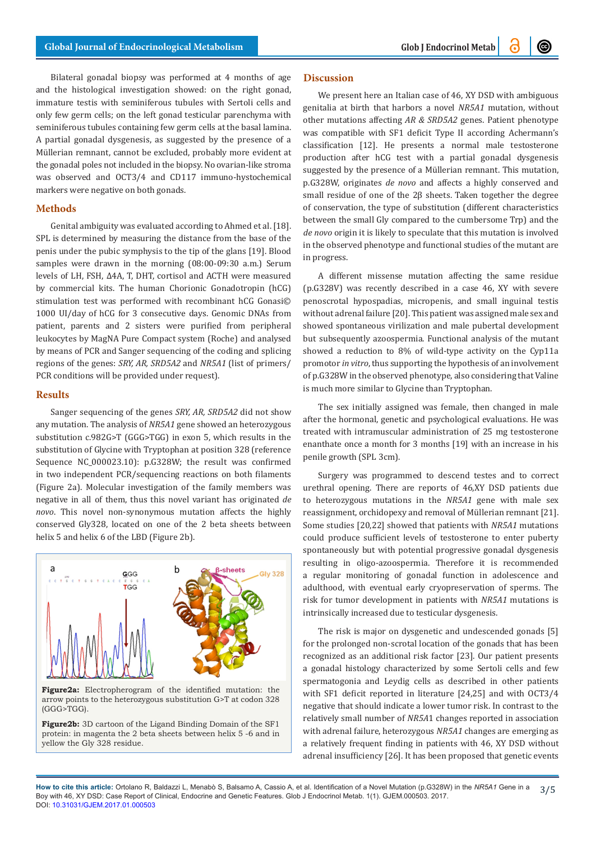(t)

Bilateral gonadal biopsy was performed at 4 months of age and the histological investigation showed: on the right gonad, immature testis with seminiferous tubules with Sertoli cells and only few germ cells; on the left gonad testicular parenchyma with seminiferous tubules containing few germ cells at the basal lamina. A partial gonadal dysgenesis, as suggested by the presence of a Müllerian remnant, cannot be excluded, probably more evident at the gonadal poles not included in the biopsy. No ovarian-like stroma was observed and OCT3/4 and CD117 immuno-hystochemical markers were negative on both gonads.

#### **Methods**

Genital ambiguity was evaluated according to Ahmed et al. [18]. SPL is determined by measuring the distance from the base of the penis under the pubic symphysis to the tip of the glans [19]. Blood samples were drawn in the morning (08:00-09:30 a.m.) Serum levels of LH, FSH, Δ4A, T, DHT, cortisol and ACTH were measured by commercial kits. The human Chorionic Gonadotropin (hCG) stimulation test was performed with recombinant hCG Gonasi© 1000 UI/day of hCG for 3 consecutive days. Genomic DNAs from patient, parents and 2 sisters were purified from peripheral leukocytes by MagNA Pure Compact system (Roche) and analysed by means of PCR and Sanger sequencing of the coding and splicing regions of the genes: *SRY, AR, SRD5A2* and *NR5A1* (list of primers/ PCR conditions will be provided under request).

#### **Results**

Sanger sequencing of the genes *SRY, AR, SRD5A2* did not show any mutation. The analysis of *NR5A1* gene showed an heterozygous substitution c.982G>T (GGG>TGG) in exon 5, which results in the substitution of Glycine with Tryptophan at position 328 (reference Sequence NC\_000023.10): p.G328W; the result was confirmed in two independent PCR/sequencing reactions on both filaments (Figure 2a). Molecular investigation of the family members was negative in all of them, thus this novel variant has originated *de novo*. This novel non-synonymous mutation affects the highly conserved Gly328, located on one of the 2 beta sheets between helix 5 and helix 6 of the LBD (Figure 2b).



**Figure2a:** Electropherogram of the identified mutation: the arrow points to the heterozygous substitution G>T at codon 328 (GGG>TGG).

**Figure2b:** 3D cartoon of the Ligand Binding Domain of the SF1 protein: in magenta the 2 beta sheets between helix 5 -6 and in yellow the Gly 328 residue.

# **Discussion**

We present here an Italian case of 46, XY DSD with ambiguous genitalia at birth that harbors a novel *NR5A1* mutation, without other mutations affecting *AR & SRD5A2* genes. Patient phenotype was compatible with SF1 deficit Type II according Achermann's classification [12]. He presents a normal male testosterone production after hCG test with a partial gonadal dysgenesis suggested by the presence of a Müllerian remnant. This mutation, p.G328W, originates *de novo* and affects a highly conserved and small residue of one of the 2β sheets. Taken together the degree of conservation, the type of substitution (different characteristics between the small Gly compared to the cumbersome Trp) and the *de novo* origin it is likely to speculate that this mutation is involved in the observed phenotype and functional studies of the mutant are in progress.

A different missense mutation affecting the same residue (p.G328V) was recently described in a case 46, XY with severe penoscrotal hypospadias, micropenis, and small inguinal testis without adrenal failure [20]. This patient was assigned male sex and showed spontaneous virilization and male pubertal development but subsequently azoospermia. Functional analysis of the mutant showed a reduction to 8% of wild-type activity on the Cyp11a promotor *in vitro*, thus supporting the hypothesis of an involvement of p.G328W in the observed phenotype, also considering that Valine is much more similar to Glycine than Tryptophan.

The sex initially assigned was female, then changed in male after the hormonal, genetic and psychological evaluations. He was treated with intramuscular administration of 25 mg testosterone enanthate once a month for 3 months [19] with an increase in his penile growth (SPL 3cm).

Surgery was programmed to descend testes and to correct urethral opening. There are reports of 46,XY DSD patients due to heterozygous mutations in the *NR5A1* gene with male sex reassignment, orchidopexy and removal of Müllerian remnant [21]. Some studies [20,22] showed that patients with *NR5A1* mutations could produce sufficient levels of testosterone to enter puberty spontaneously but with potential progressive gonadal dysgenesis resulting in oligo-azoospermia. Therefore it is recommended a regular monitoring of gonadal function in adolescence and adulthood, with eventual early cryopreservation of sperms. The risk for tumor development in patients with *NR5A1* mutations is intrinsically increased due to testicular dysgenesis.

The risk is major on dysgenetic and undescended gonads [5] for the prolonged non-scrotal location of the gonads that has been recognized as an additional risk factor [23]. Our patient presents a gonadal histology characterized by some Sertoli cells and few spermatogonia and Leydig cells as described in other patients with SF1 deficit reported in literature [24,25] and with OCT3/4 negative that should indicate a lower tumor risk. In contrast to the relatively small number of *NR5A*1 changes reported in association with adrenal failure, heterozygous *NR5A1* changes are emerging as a relatively frequent finding in patients with 46, XY DSD without adrenal insufficiency [26]. It has been proposed that genetic events

**How to cite this article:** Ortolano R, Baldazzi L, Menabò S, Balsamo A, Cassio A, et al. Identification of a Novel Mutation (p.G328W) in the *NR5A1* Gene in a Boy with 46, XY DSD: Case Report of Clinical, Endocrine and Genetic Features. Glob J Endocrinol Metab. 1(1). GJEM.000503. 2017. DOI: [10.31031/GJEM.2017.01.000503](http://dx.doi.org/10.31031/GJEM.2017.01.000503
) 3/5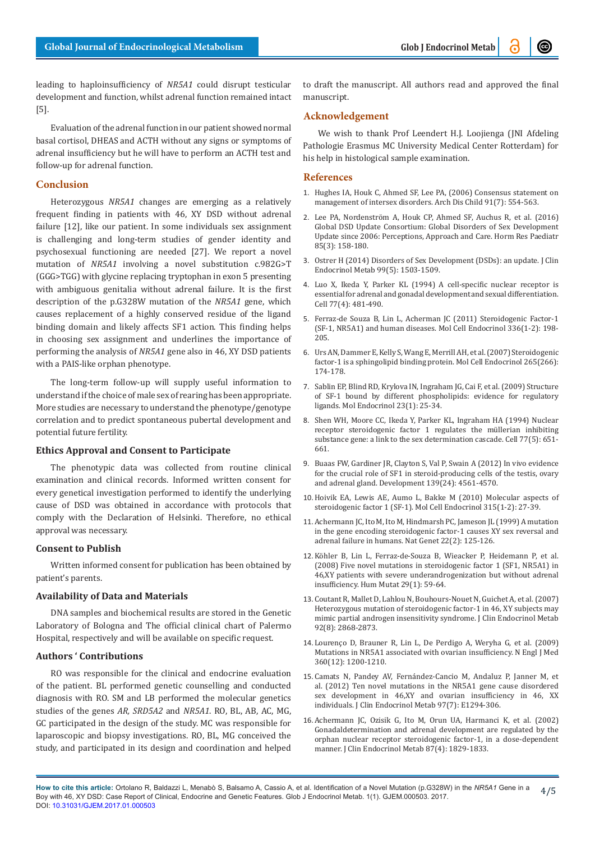leading to haploinsufficiency of *NR5A1* could disrupt testicular development and function, whilst adrenal function remained intact [5].

Evaluation of the adrenal function in our patient showed normal basal cortisol, DHEAS and ACTH without any signs or symptoms of adrenal insufficiency but he will have to perform an ACTH test and follow-up for adrenal function.

# **Conclusion**

Heterozygous *NR5A1* changes are emerging as a relatively frequent finding in patients with 46, XY DSD without adrenal failure [12], like our patient. In some individuals sex assignment is challenging and long-term studies of gender identity and psychosexual functioning are needed [27]. We report a novel mutation of *NR5A1* involving a novel substitution c.982G>T (GGG>TGG) with glycine replacing tryptophan in exon 5 presenting with ambiguous genitalia without adrenal failure. It is the first description of the p.G328W mutation of the *NR5A1* gene, which causes replacement of a highly conserved residue of the ligand binding domain and likely affects SF1 action. This finding helps in choosing sex assignment and underlines the importance of performing the analysis of *NR5A1* gene also in 46, XY DSD patients with a PAIS-like orphan phenotype.

The long-term follow-up will supply useful information to understand if the choice of male sex of rearing has been appropriate. More studies are necessary to understand the phenotype/genotype correlation and to predict spontaneous pubertal development and potential future fertility.

#### **Ethics Approval and Consent to Participate**

The phenotypic data was collected from routine clinical examination and clinical records. Informed written consent for every genetical investigation performed to identify the underlying cause of DSD was obtained in accordance with protocols that comply with the Declaration of Helsinki. Therefore, no ethical approval was necessary.

#### **Consent to Publish**

Written informed consent for publication has been obtained by patient's parents.

#### **Availability of Data and Materials**

DNA samples and biochemical results are stored in the Genetic Laboratory of Bologna and The official clinical chart of Palermo Hospital, respectively and will be available on specific request.

### **Authors ' Contributions**

RO was responsible for the clinical and endocrine evaluation of the patient. BL performed genetic counselling and conducted diagnosis with RO. SM and LB performed the molecular genetics studies of the genes *AR, SRD5A2* and *NR5A1*. RO, BL, AB, AC, MG, GC participated in the design of the study. MC was responsible for laparoscopic and biopsy investigations. RO, BL, MG conceived the study, and participated in its design and coordination and helped

to draft the manuscript. All authors read and approved the final manuscript.

# **Acknowledgement**

We wish to thank Prof Leendert H.J. Loojienga (JNI Afdeling Pathologie Erasmus MC University Medical Center Rotterdam) for his help in histological sample examination.

#### **References**

- 1. [Hughes IA, Houk C, Ahmed SF, Lee PA, \(2006\) Consensus statement on](https://www.ncbi.nlm.nih.gov/pubmed/16624884/) [management of intersex disorders. Arch Dis Child 91\(7\): 554-563.](https://www.ncbi.nlm.nih.gov/pubmed/16624884/)
- 2. [Lee PA, Nordenström A, Houk CP, Ahmed SF, Auchus R, et al. \(2016\)](https://www.ncbi.nlm.nih.gov/pubmed/26820577) [Global DSD Update Consortium: Global Disorders of Sex Development](https://www.ncbi.nlm.nih.gov/pubmed/26820577) [Update since 2006: Perceptions, Approach and Care. Horm Res Paediatr](https://www.ncbi.nlm.nih.gov/pubmed/26820577) [85\(3\): 158-180.](https://www.ncbi.nlm.nih.gov/pubmed/26820577)
- 3. [Ostrer H \(2014\) Disorders of Sex Development \(DSDs\): an update. J Clin](https://www.ncbi.nlm.nih.gov/pubmed/24758178) [Endocrinol Metab 99\(5\): 1503-1509.](https://www.ncbi.nlm.nih.gov/pubmed/24758178)
- 4. [Luo X, Ikeda Y, Parker KL \(1994\) A cell-specific nuclear receptor is](https://www.ncbi.nlm.nih.gov/pubmed/8187173) [essential for adrenal and gonadal development and sexual differentiation.](https://www.ncbi.nlm.nih.gov/pubmed/8187173) [Cell 77\(4\): 481-490.](https://www.ncbi.nlm.nih.gov/pubmed/8187173)
- 5. [Ferraz-de Souza B, Lin L, Acherman JC \(2011\) Steroidogenic Factor-1](https://www.ncbi.nlm.nih.gov/pubmed/21078366) [\(SF-1, NR5A1\) and human diseases. Mol Cell Endocrinol 336\(1-2\): 198-](https://www.ncbi.nlm.nih.gov/pubmed/21078366) [205.](https://www.ncbi.nlm.nih.gov/pubmed/21078366)
- 6. [Urs AN, Dammer E, Kelly S, Wang E, Merrill AH, et al. \(2007\) Steroidogenic](https://www.ncbi.nlm.nih.gov/pubmed/17196738) [factor-1 is a sphingolipid binding protein. Mol Cell Endocrinol 265\(266\):](https://www.ncbi.nlm.nih.gov/pubmed/17196738) [174-178.](https://www.ncbi.nlm.nih.gov/pubmed/17196738)
- 7. [Sablin EP, Blind RD, Krylova IN, Ingraham JG, Cai F, et al. \(2009\) Structure](https://www.ncbi.nlm.nih.gov/pubmed/18988706) [of SF-1 bound by different phospholipids: evidence for regulatory](https://www.ncbi.nlm.nih.gov/pubmed/18988706) [ligands. Mol Endocrinol 23\(1\): 25-34.](https://www.ncbi.nlm.nih.gov/pubmed/18988706)
- 8. [Shen WH, Moore CC, Ikeda Y, Parker KL, Ingraham HA \(1994\) Nuclear](https://www.ncbi.nlm.nih.gov/pubmed/8205615) [receptor steroidogenic factor 1 regulates the müllerian inhibiting](https://www.ncbi.nlm.nih.gov/pubmed/8205615) [substance gene: a link to the sex determination cascade. Cell 77\(5\): 651-](https://www.ncbi.nlm.nih.gov/pubmed/8205615) [661.](https://www.ncbi.nlm.nih.gov/pubmed/8205615)
- 9. [Buaas FW, Gardiner JR, Clayton S, Val P, Swain A \(2012\) In vivo evidence](https://www.ncbi.nlm.nih.gov/pubmed/23136395) [for the crucial role of SF1 in steroid-producing cells of the testis, ovary](https://www.ncbi.nlm.nih.gov/pubmed/23136395) [and adrenal gland. Development 139\(24\): 4561-4570.](https://www.ncbi.nlm.nih.gov/pubmed/23136395)
- 10.[Hoivik EA, Lewis AE, Aumo L, Bakke M \(2010\) Molecular aspects of](https://www.ncbi.nlm.nih.gov/pubmed/19616058) [steroidogenic factor 1 \(SF-1\). Mol Cell Endocrinol 315\(1-2\): 27-39.](https://www.ncbi.nlm.nih.gov/pubmed/19616058)
- 11.[Achermann JC, Ito M, Ito M, Hindmarsh PC, Jameson JL \(1999\) A mutation](https://www.ncbi.nlm.nih.gov/pubmed/10369247) [in the gene encoding steroidogenic factor-1 causes XY sex reversal and](https://www.ncbi.nlm.nih.gov/pubmed/10369247) [adrenal failure in humans. Nat Genet 22\(2\): 125-126.](https://www.ncbi.nlm.nih.gov/pubmed/10369247)
- 12.[Köhler B, Lin L, Ferraz-de-Souza B, Wieacker P, Heidemann P, et al.](https://www.ncbi.nlm.nih.gov/pubmed/17694559) [\(2008\) Five novel mutations in steroidogenic factor 1 \(SF1, NR5A1\) in](https://www.ncbi.nlm.nih.gov/pubmed/17694559) [46,XY patients with severe underandrogenization but without adrenal](https://www.ncbi.nlm.nih.gov/pubmed/17694559) [insufficiency. Hum Mutat 29\(1\): 59-64.](https://www.ncbi.nlm.nih.gov/pubmed/17694559)
- 13. [Coutant R, Mallet D, Lahlou N, Bouhours-Nouet N, Guichet A, et al. \(2007\)](https://www.ncbi.nlm.nih.gov/pubmed/17488792) [Heterozygous mutation of steroidogenic factor-1 in 46, XY subjects may](https://www.ncbi.nlm.nih.gov/pubmed/17488792) [mimic partial androgen](https://www.ncbi.nlm.nih.gov/pubmed/17488792) insensitivity syndrome. J Clin Endocrinol Metab [92\(8\): 2868-2873.](https://www.ncbi.nlm.nih.gov/pubmed/17488792)
- 14. [Lourenço D, Brauner R, Lin L, De Perdigo A, Weryha G, et al. \(2009\)](http://europepmc.org/abstract/med/19246354) [Mutations in NR5A1 associated with ovarian insufficiency. N Engl J Med](http://europepmc.org/abstract/med/19246354) [360\(12\): 1200-1210.](http://europepmc.org/abstract/med/19246354)
- 15. [Camats N, Pandey AV, Fernández-Cancio M, Andaluz P, Janner M, et](https://www.ncbi.nlm.nih.gov/pubmed/22549935) [al. \(2012\) Ten novel mutations in the NR5A1 gene cause disordered](https://www.ncbi.nlm.nih.gov/pubmed/22549935) [sex development in 46,XY and ovarian insufficiency in 46,](https://www.ncbi.nlm.nih.gov/pubmed/22549935) XX individuals. J [Clin Endocrinol Metab 97\(7\): E1294-306.](https://www.ncbi.nlm.nih.gov/pubmed/22549935)
- 16.[Achermann JC, Ozisik G, Ito M, Orun UA, Harmanci K, et al. \(2002\)](https://www.ncbi.nlm.nih.gov/pubmed/11932325) [Gonadaldetermination and adrenal development are regulated by the](https://www.ncbi.nlm.nih.gov/pubmed/11932325) [orphan nuclear receptor steroidogenic factor-1, in a dose-dependent](https://www.ncbi.nlm.nih.gov/pubmed/11932325) [manner. J Clin Endocrinol Metab 87\(4\): 1829-1833.](https://www.ncbi.nlm.nih.gov/pubmed/11932325)

**How to cite this article:** Ortolano R, Baldazzi L, Menabò S, Balsamo A, Cassio A, et al. Identification of a Novel Mutation (p.G328W) in the *NR5A1* Gene in a Boy with 46, XY DSD: Case Report of Clinical, Endocrine and Genetic Features. Glob J Endocrinol Metab. 1(1). GJEM.000503. 2017. DOI: [10.31031/GJEM.2017.01.000503](http://dx.doi.org/10.31031/GJEM.2017.01.000503
) 4/5